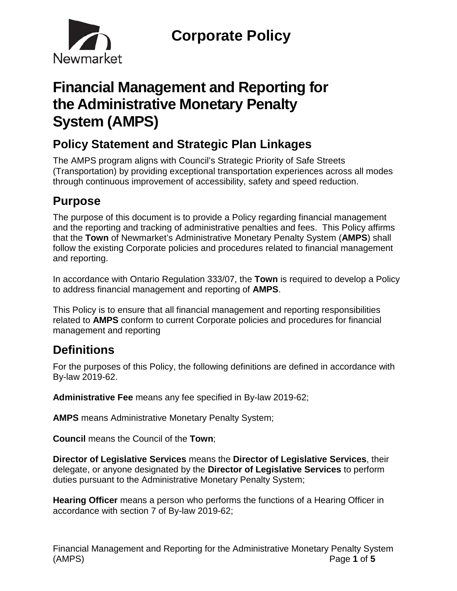

# **Financial Management and Reporting for the Administrative Monetary Penalty System (AMPS)**

## **Policy Statement and Strategic Plan Linkages**

The AMPS program aligns with Council's Strategic Priority of Safe Streets (Transportation) by providing exceptional transportation experiences across all modes through continuous improvement of accessibility, safety and speed reduction.

## **Purpose**

The purpose of this document is to provide a Policy regarding financial management and the reporting and tracking of administrative penalties and fees. This Policy affirms that the **Town** of Newmarket's Administrative Monetary Penalty System (**AMPS**) shall follow the existing Corporate policies and procedures related to financial management and reporting.

In accordance with Ontario Regulation 333/07, the **Town** is required to develop a Policy to address financial management and reporting of **AMPS**.

This Policy is to ensure that all financial management and reporting responsibilities related to **AMPS** conform to current Corporate policies and procedures for financial management and reporting

## **Definitions**

For the purposes of this Policy, the following definitions are defined in accordance with By-law 2019-62.

**Administrative Fee** means any fee specified in By-law 2019-62;

**AMPS** means Administrative Monetary Penalty System;

**Council** means the Council of the **Town**;

**Director of Legislative Services** means the **Director of Legislative Services**, their delegate, or anyone designated by the **Director of Legislative Services** to perform duties pursuant to the Administrative Monetary Penalty System;

**Hearing Officer** means a person who performs the functions of a Hearing Officer in accordance with section 7 of By-law 2019-62;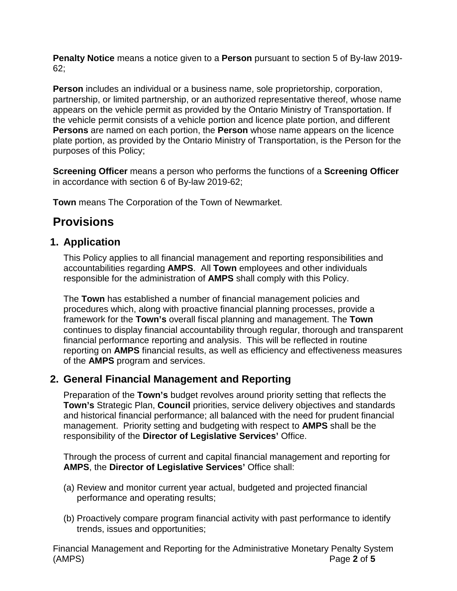**Penalty Notice** means a notice given to a **Person** pursuant to section 5 of By-law 2019- 62;

**Person** includes an individual or a business name, sole proprietorship, corporation, partnership, or limited partnership, or an authorized representative thereof, whose name appears on the vehicle permit as provided by the Ontario Ministry of Transportation. If the vehicle permit consists of a vehicle portion and licence plate portion, and different **Persons** are named on each portion, the **Person** whose name appears on the licence plate portion, as provided by the Ontario Ministry of Transportation, is the Person for the purposes of this Policy;

**Screening Officer** means a person who performs the functions of a **Screening Officer**  in accordance with section 6 of By-law 2019-62;

**Town** means The Corporation of the Town of Newmarket.

## **Provisions**

### **1. Application**

This Policy applies to all financial management and reporting responsibilities and accountabilities regarding **AMPS**. All **Town** employees and other individuals responsible for the administration of **AMPS** shall comply with this Policy.

The **Town** has established a number of financial management policies and procedures which, along with proactive financial planning processes, provide a framework for the **Town's** overall fiscal planning and management. The **Town** continues to display financial accountability through regular, thorough and transparent financial performance reporting and analysis. This will be reflected in routine reporting on **AMPS** financial results, as well as efficiency and effectiveness measures of the **AMPS** program and services.

### **2. General Financial Management and Reporting**

Preparation of the **Town's** budget revolves around priority setting that reflects the **Town's** Strategic Plan, **Council** priorities, service delivery objectives and standards and historical financial performance; all balanced with the need for prudent financial management. Priority setting and budgeting with respect to **AMPS** shall be the responsibility of the **Director of Legislative Services'** Office.

Through the process of current and capital financial management and reporting for **AMPS**, the **Director of Legislative Services'** Office shall:

- (a) Review and monitor current year actual, budgeted and projected financial performance and operating results;
- (b) Proactively compare program financial activity with past performance to identify trends, issues and opportunities;

Financial Management and Reporting for the Administrative Monetary Penalty System (AMPS) Page **2** of **5**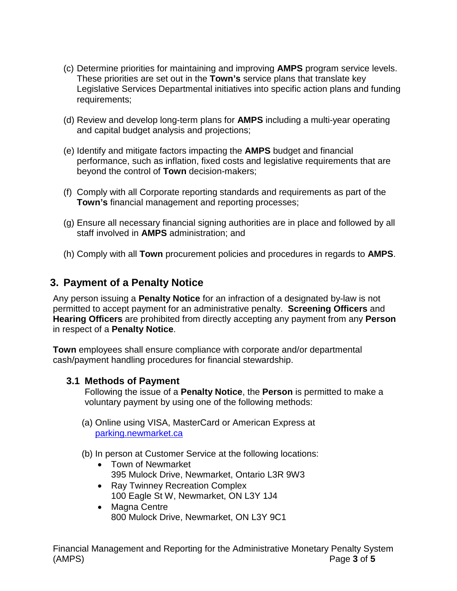- (c) Determine priorities for maintaining and improving **AMPS** program service levels. These priorities are set out in the **Town's** service plans that translate key Legislative Services Departmental initiatives into specific action plans and funding requirements;
- (d) Review and develop long-term plans for **AMPS** including a multi-year operating and capital budget analysis and projections;
- (e) Identify and mitigate factors impacting the **AMPS** budget and financial performance, such as inflation, fixed costs and legislative requirements that are beyond the control of **Town** decision-makers;
- (f) Comply with all Corporate reporting standards and requirements as part of the **Town's** financial management and reporting processes;
- (g) Ensure all necessary financial signing authorities are in place and followed by all staff involved in **AMPS** administration; and
- (h) Comply with all **Town** procurement policies and procedures in regards to **AMPS**.

### **3. Payment of a Penalty Notice**

Any person issuing a **Penalty Notice** for an infraction of a designated by-law is not permitted to accept payment for an administrative penalty. **Screening Officers** and **Hearing Officers** are prohibited from directly accepting any payment from any **Person** in respect of a **Penalty Notice**.

**Town** employees shall ensure compliance with corporate and/or departmental cash/payment handling procedures for financial stewardship.

#### **3.1 Methods of Payment**

Following the issue of a **Penalty Notice**, the **Person** is permitted to make a voluntary payment by using one of the following methods:

- (a) Online using VISA, MasterCard or American Express at parking.newmarket.ca
- (b) In person at Customer Service at the following locations:
	- Town of Newmarket 395 Mulock Drive, Newmarket, Ontario L3R 9W3
	- Ray Twinney Recreation Complex 100 Eagle St W, Newmarket, ON L3Y 1J4
	- Magna Centre 800 Mulock Drive, Newmarket, ON L3Y 9C1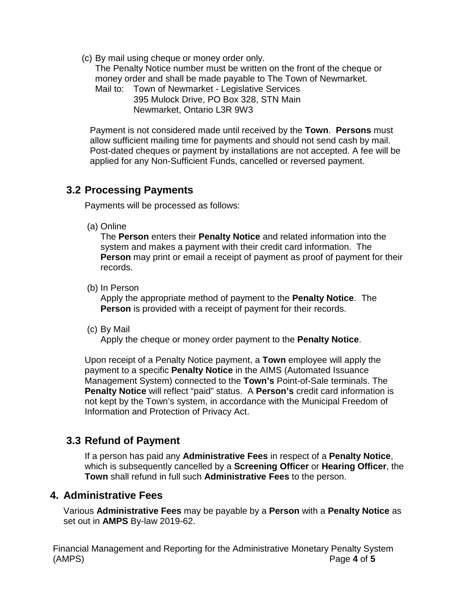(c) By mail using cheque or money order only.

The Penalty Notice number must be written on the front of the cheque or money order and shall be made payable to The Town of Newmarket.

Mail to: Town of Newmarket - Legislative Services 395 Mulock Drive, PO Box 328, STN Main Newmarket, Ontario L3R 9W3

Payment is not considered made until received by the **Town**. **Persons** must allow sufficient mailing time for payments and should not send cash by mail. Post-dated cheques or payment by installations are not accepted. A fee will be applied for any Non-Sufficient Funds, cancelled or reversed payment.

### **3.2 Processing Payments**

Payments will be processed as follows:

(a) Online

The **Person** enters their **Penalty Notice** and related information into the system and makes a payment with their credit card information. The **Person** may print or email a receipt of payment as proof of payment for their records.

(b) In Person

Apply the appropriate method of payment to the **Penalty Notice**. The **Person** is provided with a receipt of payment for their records.

(c) By Mail

Apply the cheque or money order payment to the **Penalty Notice**.

Upon receipt of a Penalty Notice payment, a **Town** employee will apply the payment to a specific **Penalty Notice** in the AIMS (Automated Issuance Management System) connected to the **Town's** Point-of-Sale terminals. The **Penalty Notice** will reflect "paid" status. A **Person's** credit card information is not kept by the Town's system, in accordance with the Municipal Freedom of Information and Protection of Privacy Act.

## **3.3 Refund of Payment**

If a person has paid any **Administrative Fees** in respect of a **Penalty Notice**, which is subsequently cancelled by a **Screening Officer** or **Hearing Officer**, the **Town** shall refund in full such **Administrative Fees** to the person.

### **4. Administrative Fees**

Various **Administrative Fees** may be payable by a **Person** with a **Penalty Notice** as set out in **AMPS** By-law 2019-62.